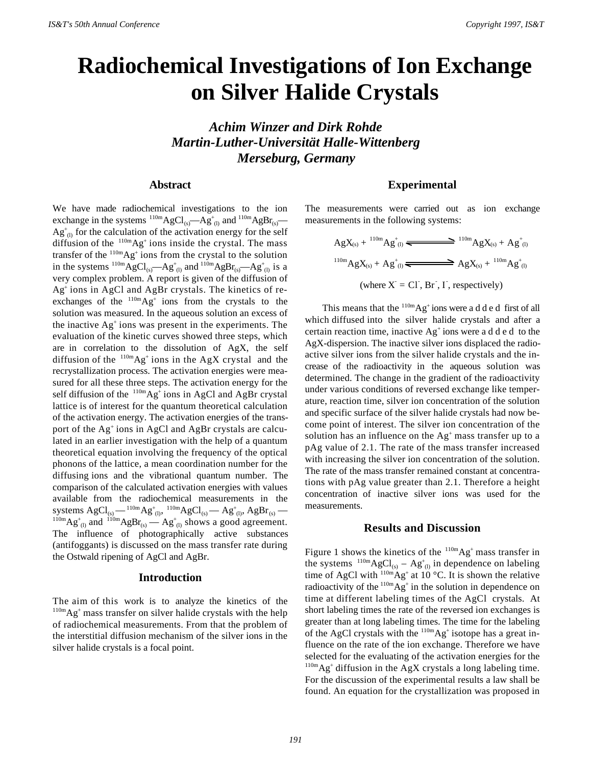# **Radiochemical Investigations of Ion Exchange on Silver Halide Crystals**

*Achim Winzer and Dirk Rohde Martin-Luther-Universität Halle-Wittenberg Merseburg, Germany*

## **Abstract**

We have made radiochemical investigations to the ion exchange in the systems  $^{110m}AgCl_{(s)}$ —Ag<sup>+</sup><sub>(1)</sub> and  $^{110m}AgBr_{(s)}$ —  $Ag<sup>+</sup><sub>(l)</sub>$  for the calculation of the activation energy for the self diffusion of the  $110m\text{Ag}^+$  ions inside the crystal. The mass transfer of the  $110m\text{Ag}^+$  ions from the crystal to the solution in the systems  $^{110m}AgCl_{(s)}-Ag_{(l)}^+$  and  $^{110m}AgBr_{(s)}-Ag_{(l)}^+$  is a very complex problem. A report is given of the diffusion of Ag<sup>+</sup> ions in AgCl and AgBr crystals. The kinetics of reexchanges of the  $110m\text{Ag}^+$  ions from the crystals to the solution was measured. In the aqueous solution an excess of the inactive Ag<sup>+</sup> ions was present in the experiments. The evaluation of the kinetic curves showed three steps, which are in correlation to the dissolution of AgX, the self diffusion of the  $^{110m}Ag^{+}$  ions in the AgX crystal and the recrystallization process. The activation energies were measured for all these three steps. The activation energy for the self diffusion of the  $110m\text{Ag}^+$  ions in AgCl and AgBr crystal lattice is of interest for the quantum theoretical calculation of the activation energy. The activation energies of the transport of the Ag<sup>+</sup> ions in AgCl and AgBr crystals are calculated in an earlier investigation with the help of a quantum theoretical equation involving the frequency of the optical phonons of the lattice, a mean coordination number for the diffusing ions and the vibrational quantum number. The comparison of the calculated activation energies with values available from the radiochemical measurements in the systems  $\mathrm{AgCl}_{\text{\tiny (S)}}\mathrm{--}^{110\text{m}}\mathrm{Ag}_{\text{\tiny (I)}}^{\text{+}},\, {^{110\text{m}}}\mathrm{AgCl}_{\text{\tiny (S)}}\mathrm{--} \mathrm{Ag}_{\text{\tiny (I)}}^{\text{+}}, \mathrm{AgBr}_{\text{\tiny (S)}}\mathrm{--}$  $^{110m}\text{Ag}^+_{(l)}$  and  $^{110m}\text{AgBr}_{(s)}$  —  $\text{Ag}^+_{(l)}$  shows a good agreement. The influence of photographically active substances (antifoggants) is discussed on the mass transfer rate during the Ostwald ripening of AgCl and AgBr.

## **Introduction**

The aim of this work is to analyze the kinetics of the  $110m\text{Ag}^+$  mass transfer on silver halide crystals with the help of radiochemical measurements. From that the problem of the interstitial diffusion mechanism of the silver ions in the silver halide crystals is a focal point.

# **Experimental**

The measurements were carried out as ion exchange measurements in the following systems:

$$
AgX_{(s)} + {}^{110m}Ag_{(l)} \xrightarrow{\phantom{1}} {}^{110m}AgX_{(s)} + Ag_{(l)}^+
$$
  

$$
{}^{110m}AgX_{(s)} + Ag_{(l)}^+ \xrightarrow{\phantom{1}} AgX_{(s)} + {}^{110m}Ag_{(l)}^+
$$
  
(where X = CI, Br, I, respectively)

This means that the  $110m\text{Ag}^+$  ions were a d d e d first of all which diffused into the silver halide crystals and after a certain reaction time, inactive  $Ag<sup>+</sup>$  ions were a d d e d to the AgX-dispersion. The inactive silver ions displaced the radioactive silver ions from the silver halide crystals and the increase of the radioactivity in the aqueous solution was determined. The change in the gradient of the radioactivity under various conditions of reversed exchange like temperature, reaction time, silver ion concentration of the solution and specific surface of the silver halide crystals had now become point of interest. The silver ion concentration of the solution has an influence on the  $Ag<sup>+</sup>$  mass transfer up to a pAg value of 2.1. The rate of the mass transfer increased with increasing the silver ion concentration of the solution. The rate of the mass transfer remained constant at concentrations with pAg value greater than 2.1. Therefore a height concentration of inactive silver ions was used for the measurements.

#### **Results and Discussion**

Figure 1 shows the kinetics of the  $110m\text{Ag}^+$  mass transfer in the systems  $^{110m}AgCl_{(s)} - Ag_{(l)}^{\dagger}$  in dependence on labeling time of AgCl with  $110^{\circ}$ Ag<sup>+</sup> at 10 °C. It is shown the relative radioactivity of the  $110m\text{Ag}^+$  in the solution in dependence on time at different labeling times of the AgCl crystals. At short labeling times the rate of the reversed ion exchanges is greater than at long labeling times. The time for the labeling of the AgCl crystals with the  $110m\text{Ag}^+$  isotope has a great influence on the rate of the ion exchange. Therefore we have selected for the evaluating of the activation energies for the  $^{110m}$ Ag<sup>+</sup> diffusion in the AgX crystals a long labeling time. For the discussion of the experimental results a law shall be found. An equation for the crystallization was proposed in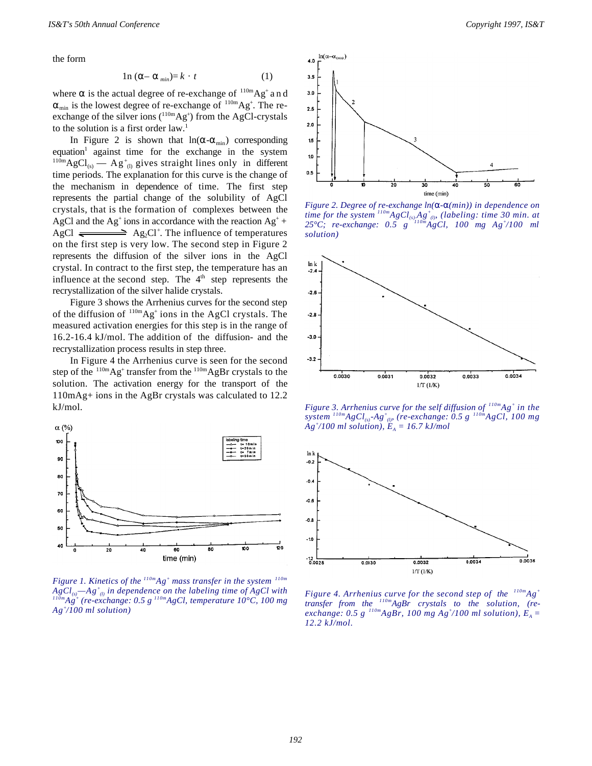the form

$$
ln (\alpha - \alpha_{min}) = k \cdot t \tag{1}
$$

where  $\alpha$  is the actual degree of re-exchange of  $^{110m}Ag^{+}$  and  $\alpha_{\min}$  is the lowest degree of re-exchange of  $^{110m}Ag^{+}$ . The reexchange of the silver ions  $(^{110m}Ag^+)$  from the AgCl-crystals to the solution is a first order law.<sup>1</sup>

In Figure 2 is shown that  $ln(\alpha - \alpha_{min})$  corresponding equation<sup>1</sup> against time for the exchange in the system  $^{110m}\text{AgCl}_{(s)}$  — Ag<sup>+</sup><sub>(1)</sub> gives straight lines only in different time periods. The explanation for this curve is the change of the mechanism in dependence of time. The first step represents the partial change of the solubility of AgCl crystals, that is the formation of complexes between the AgCl and the Ag<sup>+</sup> ions in accordance with the reaction  $Ag^+$  + AgCl  $\rightleftharpoons$  Ag<sub>2</sub>Cl<sup>+</sup>. The influence of temperatures on the first step is very low. The second step in Figure 2 represents the diffusion of the silver ions in the AgCl crystal. In contract to the first step, the temperature has an influence at the second step. The  $4<sup>th</sup>$  step represents the recrystallization of the silver halide crystals.

Figure 3 shows the Arrhenius curves for the second step of the diffusion of  $^{110m}Ag^{+}$  ions in the AgCl crystals. The measured activation energies for this step is in the range of 16.2-16.4 kJ/mol. The addition of the diffusion- and the recrystallization process results in step three.

In Figure 4 the Arrhenius curve is seen for the second step of the  $^{110m}$ Ag<sup>+</sup> transfer from the  $^{110m}$ AgBr crystals to the solution. The activation energy for the transport of the 110mAg+ ions in the AgBr crystals was calculated to 12.2 kJ/mol.



*Figure 1. Kinetics of the 110mAg<sup>+</sup> mass transfer in the system 110m*  $AgCl_{(s)}$ —Ag<sup>+</sup><sub>(i)</sub> in dependence on the labeling time of AgCl with *110mAg<sup>+</sup> (re-exchange: 0.5 g 110mAgCl, temperature 10°C, 100 mg Ag<sup>+</sup> /100 ml solution)*



time (min)

*Figure 2. Degree of re-exchange ln(*α*-*α*(min)) in dependence on time for the system 110mAgCl(s)-Ag<sup>+</sup> (l), (labeling: time 30 min. at 25°C; re-exchange: 0.5 g 110mAgCl, 100 mg Ag<sup>+</sup> /100 ml solution)*



*Figure 3. Arrhenius curve for the self diffusion of 110mAg<sup>+</sup> in the system 110mAgCl(s)-Ag<sup>+</sup> (l), (re-exchange: 0.5 g 110mAgCl, 100 mg*  $Ag<sup>+</sup>/100$  ml solution),  $E_A = 16.7$  kJ/mol



*Figure 4. Arrhenius curve for the second step of the 110mAg<sup>+</sup> transfer from the 110mAgBr crystals to the solution, (reexchange:* 0.5 g  $\frac{110m}{A}$ *gBr,* 100 mg  $Ag^{+}/100$  ml solution),  $E_A =$ *12.2 kJ/mol.*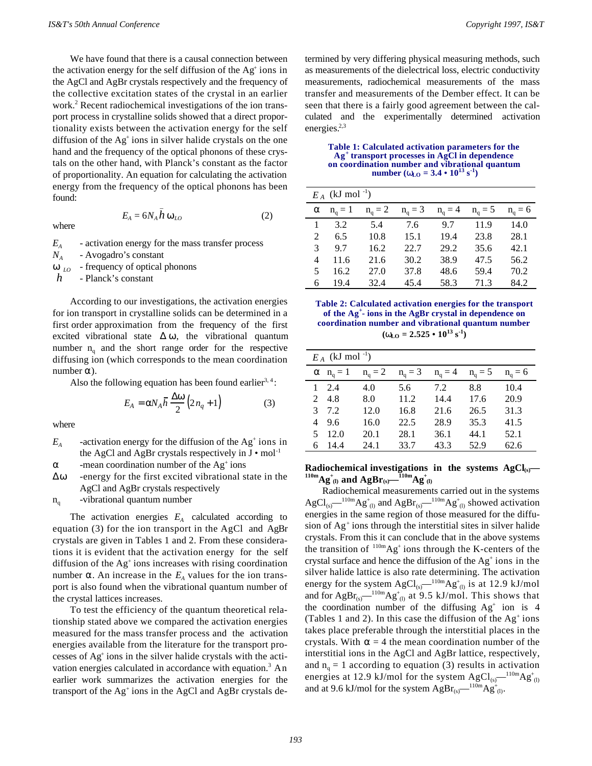We have found that there is a causal connection between the activation energy for the self diffusion of the Ag<sup>+</sup> ions in the AgCl and AgBr crystals respectively and the frequency of the collective excitation states of the crystal in an earlier work.<sup>2</sup> Recent radiochemical investigations of the ion transport process in crystalline solids showed that a direct proportionality exists between the activation energy for the self diffusion of the Ag<sup>+</sup> ions in silver halide crystals on the one hand and the frequency of the optical phonons of these crystals on the other hand, with Planck's constant as the factor of proportionality. An equation for calculating the activation energy from the frequency of the optical phonons has been found:

where

$$
E_A = 6N_A h \omega_{LO} \tag{2}
$$

*EA* - activation energy for the mass transfer process *NA* - Avogadro's constant - frequency of optical phonons *h*  $\omega_{LO}$ - Planck's constant

\_

According to our investigations, the activation energies for ion transport in crystalline solids can be determined in a first order approximation from the frequency of the first excited vibrational state  $\Delta \omega$ , the vibrational quantum number  $n_q$  and the short range order for the respective diffusing ion (which corresponds to the mean coordination number  $α$ ).

Also the following equation has been found earlier<sup>3, 4</sup>:

$$
E_A = \alpha N_A \overline{h} \frac{\Delta \omega}{2} \left( 2n_q + 1 \right) \tag{3}
$$

where

*EA* -activation energy for the diffusion of the  $Ag<sup>+</sup>$  ions in the AgCl and AgBr crystals respectively in  $J \cdot \text{mol}^{-1}$ 

 $\alpha$  -mean coordination number of the Ag<sup>+</sup> ions

Δω -energy for the first excited vibrational state in the AgCl and AgBr crystals respectively

 $n_q$ -vibrational quantum number

The activation energies  $E_A$  calculated according to equation (3) for the ion transport in the AgCl and AgBr crystals are given in Tables 1 and 2. From these considerations it is evident that the activation energy for the self diffusion of the Ag<sup>+</sup> ions increases with rising coordination number  $\alpha$ . An increase in the  $E_A$  values for the ion transport is also found when the vibrational quantum number of the crystal lattices increases.

To test the efficiency of the quantum theoretical relationship stated above we compared the activation energies measured for the mass transfer process and the activation energies available from the literature for the transport processes of Ag<sup>+</sup> ions in the silver halide crystals with the activation energies calculated in accordance with equation.<sup>3</sup> An earlier work summarizes the activation energies for the transport of the Ag<sup>+</sup> ions in the AgCl and AgBr crystals de-

termined by very differing physical measuring methods, such as measurements of the dielectrical loss, electric conductivity measurements, radiochemical measurements of the mass transfer and measurements of the Dember effect. It can be seen that there is a fairly good agreement between the calculated and the experimentally determined activation energies.<sup>2,3</sup>

**Table 1: Calculated activation parameters for the Ag<sup>+</sup> transport processes in AgCl in dependence on coordination number and vibrational quantum number**  $(\omega_{LO} = 3.4 \cdot 10^{13} \text{ s}^{-1})$ 

| $E_A$ (kJ mol <sup>-1</sup> ) |               |                 |           |           |           |                 |  |  |  |
|-------------------------------|---------------|-----------------|-----------|-----------|-----------|-----------------|--|--|--|
| α                             | $n_{\rm o}=1$ | $n_{\rm q} = 2$ | $n_a = 3$ | $n_a = 4$ | $n_a = 5$ | $n_{\rm o} = 6$ |  |  |  |
|                               | 3.2           | 5.4             | 7.6       | 9.7       | 11.9      | 14.0            |  |  |  |
| 2                             | 6.5           | 10.8            | 15.1      | 19.4      | 23.8      | 28.1            |  |  |  |
| 3                             | 9.7           | 16.2            | 22.7      | 29.2      | 35.6      | 42.1            |  |  |  |
| 4                             | 11.6          | 21.6            | 30.2      | 38.9      | 47.5      | 56.2            |  |  |  |
| 5                             | 16.2          | 27.0            | 37.8      | 48.6      | 59.4      | 70.2            |  |  |  |
| 6                             | 19.4          | 32.4            | 45.4      | 58.3      | 71.3      | 84.2            |  |  |  |

**Table 2: Calculated activation energies for the transport of the Ag<sup>+</sup> - ions in the AgBr crystal in dependence on coordination number and vibrational quantum number**  $(\omega_{\text{LO}} = 2.525 \cdot 10^{13} \text{ s}^{-1})$ 

| $E_A$ (kJ mol <sup>-1</sup> ) |                          |               |           |               |           |               |  |  |  |
|-------------------------------|--------------------------|---------------|-----------|---------------|-----------|---------------|--|--|--|
|                               | $\alpha$ $n_{\rm q} = 1$ | $n_{\rm q}=2$ | $n_a = 3$ | $n_{\rm q}=4$ | $n_a = 5$ | $n_{\rm q}=6$ |  |  |  |
| 1                             | 2.4                      | 4.0           | 5.6       | 7.2           | 8.8       | 10.4          |  |  |  |
| $\mathfrak{D}$                | -4.8                     | 8.0           | 11.2      | 14.4          | 17.6      | 20.9          |  |  |  |
| 3                             | 7.2                      | 12.0          | 16.8      | 21.6          | 26.5      | 31.3          |  |  |  |
| 4                             | 9.6                      | 16.0          | 22.5      | 28.9          | 35.3      | 41.5          |  |  |  |
| 5                             | 12.0                     | 20.1          | 28.1      | 36.1          | 44.1      | 52.1          |  |  |  |
| 6                             | 14.4                     | 24.1          | 33.7      | 43.3          | 52.9      | 62.6          |  |  |  |

**Radiochemical investigations in the systems**  $AgCl<sub>(s)</sub>$ **—**  $\mathbf{q}_0$  and  $\mathbf{AgBr}_{(s)}$ — $\mathbf{q}_{10}^*$ 

Radiochemical measurements carried out in the systems  $AgCl_{(s)}$ — $^{110m}Ag_{(l)}^+$  and  $AgBr_{(s)}$ — $^{110m}Ag_{(l)}^+$  showed activation energies in the same region of those measured for the diffusion of Ag<sup>+</sup> ions through the interstitial sites in silver halide crystals. From this it can conclude that in the above systems the transition of  $110m\text{Ag}^+$  ions through the K-centers of the crystal surface and hence the diffusion of the  $Ag<sup>+</sup>$  ions in the silver halide lattice is also rate determining. The activation energy for the system  $\text{AgCl}_{\text{(s)}}$ — $^{110m}\text{Ag}^+_{\text{(l)}}$  is at 12.9 kJ/mol and for Ag $\rm{Br}_{\rm (s)}$   $^{110m}$ Ag<sup>+</sup> (i) at 9.5 kJ/mol. This shows that the coordination number of the diffusing  $Ag<sup>+</sup>$  ion is 4 (Tables 1 and 2). In this case the diffusion of the  $Ag<sup>+</sup> ions$ takes place preferable through the interstitial places in the crystals. With  $\alpha = 4$  the mean coordination number of the interstitial ions in the AgCl and AgBr lattice, respectively, and  $n_q = 1$  according to equation (3) results in activation energies at 12.9 kJ/mol for the system  $\text{AgCl}_{\text{\tiny (S)}}$ — $^{110\text{m}}\text{Ag}^+_{(l)}$ and at 9.6 kJ/mol for the system AgBr<sub>(s)</sub>— $^{110m}$ Ag<sup>+</sup><sub>(i)</sub>.